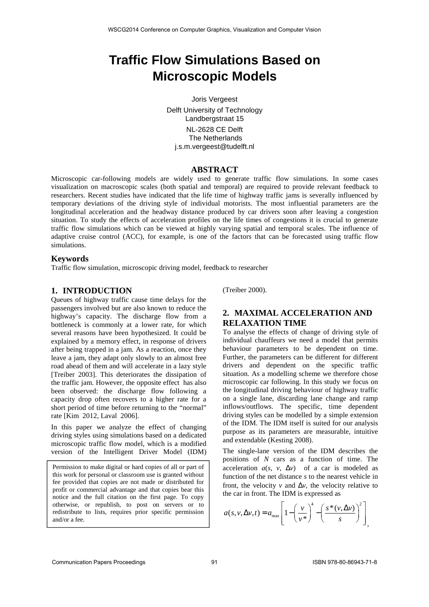# **Traffic Flow Simulations Based on Microscopic Models**

Joris Vergeest

Delft University of Technology Landbergstraat 15 NL-2628 CE Delft The Netherlands j.s.m.vergeest@tudelft.nl

### **ABSTRACT**

Microscopic car-following models are widely used to generate traffic flow simulations. In some cases visualization on macroscopic scales (both spatial and temporal) are required to provide relevant feedback to researchers. Recent studies have indicated that the life time of highway traffic jams is severally influenced by temporary deviations of the driving style of individual motorists. The most influential parameters are the longitudinal acceleration and the headway distance produced by car drivers soon after leaving a congestion situation. To study the effects of acceleration profiles on the life times of congestions it is crucial to generate traffic flow simulations which can be viewed at highly varying spatial and temporal scales. The influence of adaptive cruise control (ACC), for example, is one of the factors that can be forecasted using traffic flow simulations.

### **Keywords**

Traffic flow simulation, microscopic driving model, feedback to researcher

## **1. INTRODUCTION**

Queues of highway traffic cause time delays for the passengers involved but are also known to reduce the highway's capacity. The discharge flow from a bottleneck is commonly at a lower rate, for which several reasons have been hypothesized. It could be explained by a memory effect, in response of drivers after being trapped in a jam. As a reaction, once they leave a jam, they adapt only slowly to an almost free road ahead of them and will accelerate in a lazy style [Treiber 2003]. This deteriorates the dissipation of the traffic jam. However, the opposite effect has also been observed: the discharge flow following a capacity drop often recovers to a higher rate for a short period of time before returning to the "normal" rate [Kim 2012, Laval 2006].

In this paper we analyze the effect of changing driving styles using simulations based on a dedicated microscopic traffic flow model, which is a modified version of the Intelligent Driver Model (IDM)

Permission to make digital or hard copies of all or part of this work for personal or classroom use is granted without fee provided that copies are not made or distributed for profit or commercial advantage and that copies bear this notice and the full citation on the first page. To copy otherwise, or republish, to post on servers or to redistribute to lists, requires prior specific permission and/or a fee.

(Treiber 2000).

# **2. MAXIMAL ACCELERATION AND RELAXATION TIME**

To analyse the effects of change of driving style of individual chauffeurs we need a model that permits behaviour parameters to be dependent on time. Further, the parameters can be different for different drivers and dependent on the specific traffic situation. As a modelling scheme we therefore chose microscopic car following. In this study we focus on the longitudinal driving behaviour of highway traffic on a single lane, discarding lane change and ramp inflows/outflows. The specific, time dependent driving styles can be modelled by a simple extension of the IDM. The IDM itself is suited for our analysis purpose as its parameters are measurable, intuitive and extendable (Kesting 2008).

The single-lane version of the IDM describes the positions of *N* cars as a function of time. The acceleration  $a(s, v, \Delta v)$  of a car is modeled as function of the net distance *s* to the nearest vehicle in front, the velocity *v* and  $\Delta v$ , the velocity relative to the car in front. The IDM is expressed as

$$
a(s, v, \Delta v, t) = a_{\max} \left[ 1 - \left( \frac{v}{v^*} \right)^4 - \left( \frac{s^*(v, \Delta v)}{s} \right)^2 \right],
$$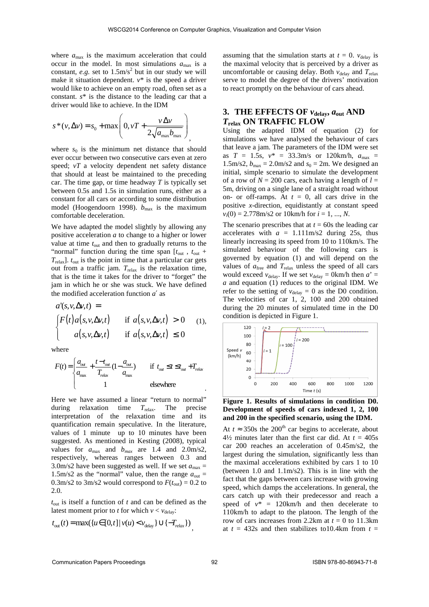where  $a_{\text{max}}$  is the maximum acceleration that could occur in the model. In most simulations  $a_{\text{max}}$  is a constant, *e.g.* set to  $1.5 \text{m/s}^2$  but in our study we will make it situation dependent. *v*\* is the speed a driver would like to achieve on an empty road, often set as a constant. *s*\* is the distance to the leading car that a driver would like to achieve. In the IDM

$$
s^*(v, \Delta v) = s_0 + \max\left(0, vT + \frac{v\Delta v}{2\sqrt{a_{\max}b_{\max}}}\right)
$$

where  $s_0$  is the minimum net distance that should ever occur between two consecutive cars even at zero speed; *vT* a velocity dependent net safety distance that should at least be maintained to the preceding car. The time gap, or time headway *T* is typically set between 0.5s and 1.5s in simulation runs, either as a constant for all cars or according to some distribution model (Hoogendoorn 1998).  $b_{\text{max}}$  is the maximum comfortable deceleration.

We have adapted the model slightly by allowing any positive acceleration *a* to change to a higher or lower value at time  $t_{\text{out}}$  and then to gradually returns to the "normal" function during the time span  $[t_{\text{out}} , t_{\text{out}} +$ *T*relax]. *t*out is the point in time that a particular car gets out from a traffic jam.  $T_{\text{relax}}$  is the relaxation time, that is the time it takes for the driver to "forget" the jam in which he or she was stuck. We have defined the modified acceleration function *a*′ as

$$
a'(s, v, \Delta v, t) =
$$
  
\n
$$
\begin{cases}\nF(t)a(s, v, \Delta v, t) & \text{if } a(s, v, \Delta v, t) > 0 \\
a(s, v, \Delta v, t) & \text{if } a(s, v, \Delta v, t) \le 0\n\end{cases}
$$
(1),

where

$$
F(t) = \begin{cases} \frac{a_{\text{out}}}{a_{\text{max}}} + \frac{t - t_{\text{out}}}{T_{\text{relax}}} (1 - \frac{a_{\text{out}}}{a_{\text{max}}}) & \text{if } t_{\text{out}} \le t \le t_{\text{out}} + T_{\text{relax}}\\ 1 & \text{elsewhere} \end{cases}
$$

Here we have assumed a linear "return to normal" during relaxation time *T*relax. The precise interpretation of the relaxation time and its quantification remain speculative. In the literature, values of 1 minute up to 10 minutes have been suggested. As mentioned in Kesting (2008), typical values for  $a_{\text{max}}$  and  $b_{\text{max}}$  are 1.4 and 2.0m/s2, respectively, whereas ranges between 0.3 and 3.0m/s2 have been suggested as well. If we set  $a_{\text{max}} =$ 1.5m/s2 as the "normal" value, then the range  $a_{\text{out}} =$ 0.3m/s2 to 3m/s2 would correspond to  $F(t_{\text{out}}) = 0.2$  to 2.0.

*t*out is itself a function of *t* and can be defined as the latest moment prior to *t* for which  $v < v_{\text{delay}}$ :

$$
t_{\text{out}}(t) = \max(\{u \in [0, t] \mid v(u) < v_{\text{delay}}\} \cup \{-T_{\text{relax}}\})
$$

assuming that the simulation starts at  $t = 0$ .  $v_{\text{delay}}$  is the maximal velocity that is perceived by a driver as uncomfortable or causing delay. Both  $v_{\text{delay}}$  and  $T_{\text{relax}}$ serve to model the degree of the drivers' motivation to react promptly on the behaviour of cars ahead.

## **3. THE EFFECTS OF**  $v_{\text{delay}}$ ,  $a_{\text{out}}$  AND *T***relax ON TRAFFIC FLOW**

Using the adapted IDM of equation (2) for simulations we have analysed the behaviour of cars that leave a jam. The parameters of the IDM were set as  $T = 1.5$ s,  $v^* = 33.3$ m/s or 120km/h,  $a_{\text{max}} =$ 1.5m/s2,  $b_{\text{max}} = 2.0 \text{m/s2}$  and  $s_0 = 2 \text{m}$ . We designed an initial, simple scenario to simulate the development of a row of  $N = 200$  cars, each having a length of  $l =$ 5m, driving on a single lane of a straight road without on- or off-ramps. At  $t = 0$ , all cars drive in the positive *x*-direction, equidistantly at constant speed *vi*(0) = 2.778m/s2 or 10km/h for *i* = 1, ..., *N*.

The scenario prescribes that at  $t = 60s$  the leading car accelerates with  $a = 1.111 \text{ m/s}$ 2 during 25s, thus linearly increasing its speed from 10 to 110km/s. The simulated behaviour of the following cars is governed by equation (1) and will depend on the values of  $a_{\text{free}}$  and  $T_{\text{relax}}$  unless the speed of all cars would exceed  $v_{\text{delay}}$ . If we set  $v_{\text{delay}} = 0 \text{km/h}$  then  $a' =$ *a* and equation (1) reduces to the original IDM. We refer to the setting of  $v_{\text{delay}} = 0$  as the D0 condition. The velocities of car 1, 2, 100 and 200 obtained during the 20 minutes of simulated time in the D0 condition is depicted in Figure 1.



**Figure 1. Results of simulations in condition D0. Development of speeds of cars indexed 1, 2, 100 and 200 in the specified scenario, using the IDM.**

At  $t \approx 350$ s the 200<sup>th</sup> car begins to accelerate, about  $4\frac{1}{2}$  minutes later than the first car did. At  $t = 405s$ car 200 reaches an acceleration of 0.45m/s2, the largest during the simulation, significantly less than the maximal accelerations exhibited by cars 1 to 10 (between 1.0 and 1.1m/s2). This is in line with the fact that the gaps between cars increase with growing speed, which damps the accelerations. In general, the cars catch up with their predecessor and reach a speed of  $v^* = 120 \text{km/h}$  and then decelerate to 110km/h to adapt to the platoon. The length of the row of cars increases from 2.2km at  $t = 0$  to 11.3km at  $t = 432$ s and then stabilizes to 10.4km from  $t =$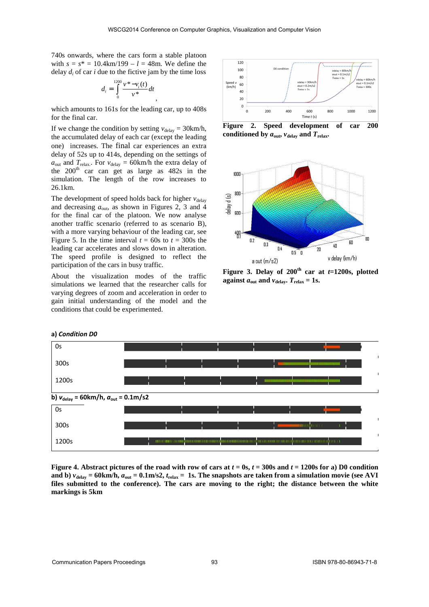740s onwards, where the cars form a stable platoon with  $s = s^* = 10.4 \text{km}/199 - l = 48 \text{m}$ . We define the delay  $d_i$  of car  $i$  due to the fictive jam by the time loss

$$
d_i = \int_0^{1200} \frac{v^* - v_i(t)}{v^*} dt
$$

which amounts to 161s for the leading car, up to 408s for the final car.

,

If we change the condition by setting  $v_{\text{delay}} = 30 \text{km/h}$ , the accumulated delay of each car (except the leading one) increases. The final car experiences an extra delay of 52s up to 414s, depending on the settings of  $a_{\text{out}}$  and  $T_{\text{relax}}$ . For  $v_{\text{delay}} = 60 \text{km/h}$  the extra delay of the  $200<sup>th</sup>$  car can get as large as  $482s$  in the simulation. The length of the row increases to 26.1km.

The development of speed holds back for higher  $v_{\text{delay}}$ and decreasing  $a_{\text{out}}$ , as shown in Figures 2, 3 and 4 for the final car of the platoon. We now analyse another traffic scenario (referred to as scenario B), with a more varying behaviour of the leading car, see Figure 5. In the time interval  $t = 60$ s to  $t = 300$ s the leading car accelerates and slows down in alteration. The speed profile is designed to reflect the participation of the cars in busy traffic.

About the visualization modes of the traffic simulations we learned that the researcher calls for varying degrees of zoom and acceleration in order to gain initial understanding of the model and the conditions that could be experimented.



**Figure 2. Speed development of car 200**  conditioned by  $a_{\text{out}}$ ,  $v_{\text{delay}}$  and  $T_{\text{relax}}$ .



**Figure 3. Delay of 200<sup>th</sup> car at**  $t=1200$ **s, plotted against**  $a_{\text{out}}$  and  $v_{\text{delay}}$ ,  $T_{\text{relax}} = 1$ s.



**a)** *Condition D0* 

**Figure 4. Abstract pictures of the road with row of cars at**  $t = 0$ **s,**  $t = 300$ **s and**  $t = 1200$ **s for a) D0 condition** and b)  $v_{\text{delay}} = 60 \text{km/h}$ ,  $a_{\text{out}} = 0.1 \text{m/s2}$ ,  $t_{\text{relax}} = 1 \text{s}$ . The snapshots are taken from a simulation movie (see AVI **files submitted to the conference). The cars are moving to the right; the distance between the white markings is 5km**